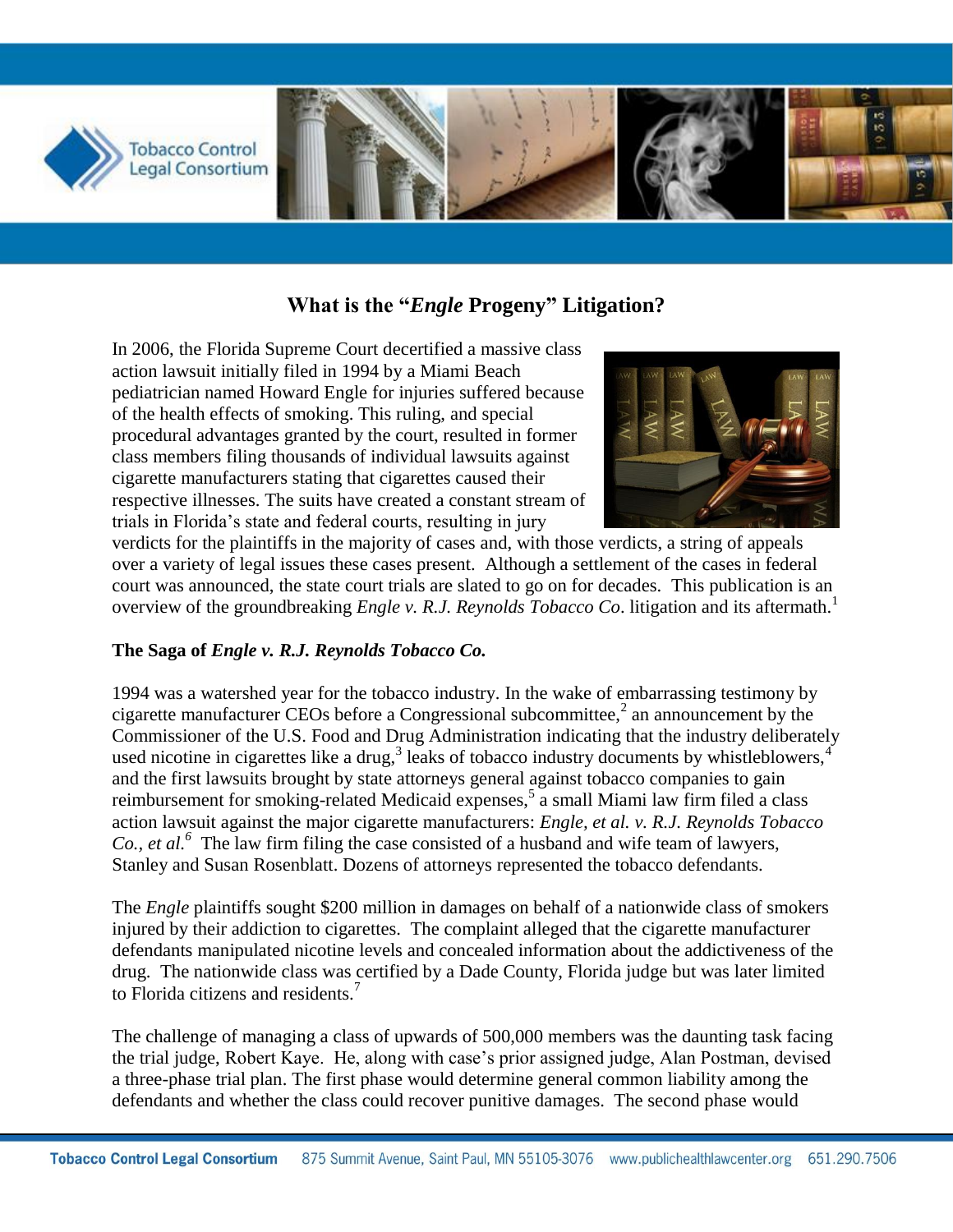

# **What is the "***Engle* **Progeny" Litigation?**

In 2006, the Florida Supreme Court decertified a massive class action lawsuit initially filed in 1994 by a Miami Beach pediatrician named Howard Engle for injuries suffered because of the health effects of smoking. This ruling, and special procedural advantages granted by the court, resulted in former class members filing thousands of individual lawsuits against cigarette manufacturers stating that cigarettes caused their respective illnesses. The suits have created a constant stream of trials in Florida's state and federal courts, resulting in jury



verdicts for the plaintiffs in the majority of cases and, with those verdicts, a string of appeals over a variety of legal issues these cases present. Although a settlement of the cases in federal court was announced, the state court trials are slated to go on for decades. This publication is an overview of the groundbreaking *Engle v. R.J. Reynolds Tobacco Co*. litigation and its aftermath.<sup>1</sup>

### **The Saga of** *Engle v. R.J. Reynolds Tobacco Co.*

1994 was a watershed year for the tobacco industry. In the wake of embarrassing testimony by cigarette manufacturer CEOs before a Congressional subcommittee,<sup>2</sup> an announcement by the Commissioner of the U.S. Food and Drug Administration indicating that the industry deliberately used nicotine in cigarettes like a drug,<sup>3</sup> leaks of tobacco industry documents by whistleblowers,<sup>4</sup> and the first lawsuits brought by state attorneys general against tobacco companies to gain reimbursement for smoking-related Medicaid expenses,  $\frac{5}{9}$  a small Miami law firm filed a class action lawsuit against the major cigarette manufacturers: *Engle, et al. v. R.J. Reynolds Tobacco Co., et al.<sup>6</sup>* The law firm filing the case consisted of a husband and wife team of lawyers, Stanley and Susan Rosenblatt. Dozens of attorneys represented the tobacco defendants.

The *Engle* plaintiffs sought \$200 million in damages on behalf of a nationwide class of smokers injured by their addiction to cigarettes. The complaint alleged that the cigarette manufacturer defendants manipulated nicotine levels and concealed information about the addictiveness of the drug. The nationwide class was certified by a Dade County, Florida judge but was later limited to Florida citizens and residents.<sup>7</sup>

The challenge of managing a class of upwards of 500,000 members was the daunting task facing the trial judge, Robert Kaye. He, along with case's prior assigned judge, Alan Postman, devised a three-phase trial plan. The first phase would determine general common liability among the defendants and whether the class could recover punitive damages. The second phase would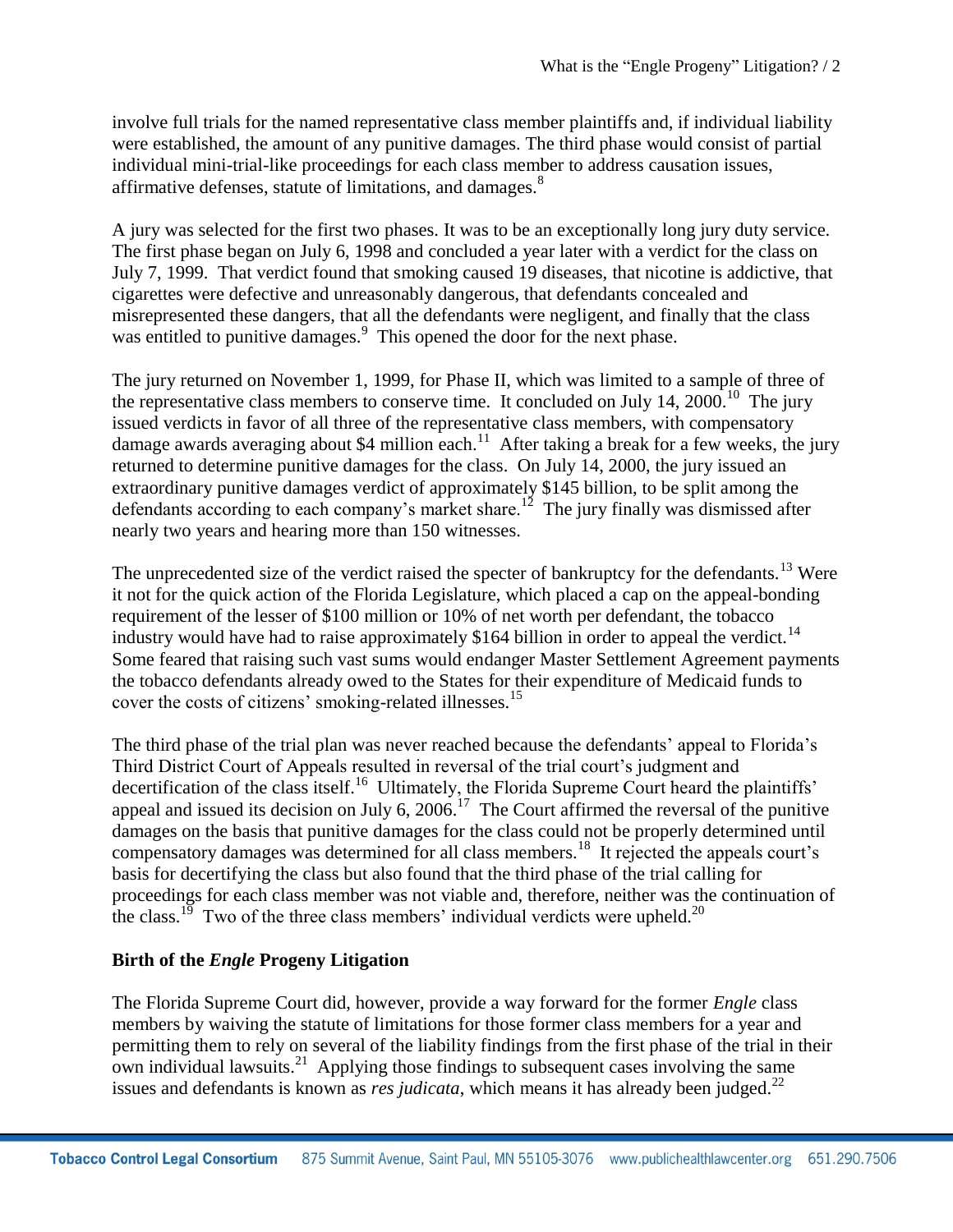involve full trials for the named representative class member plaintiffs and, if individual liability were established, the amount of any punitive damages. The third phase would consist of partial individual mini-trial-like proceedings for each class member to address causation issues, affirmative defenses, statute of limitations, and damages.<sup>8</sup>

A jury was selected for the first two phases. It was to be an exceptionally long jury duty service. The first phase began on July 6, 1998 and concluded a year later with a verdict for the class on July 7, 1999. That verdict found that smoking caused 19 diseases, that nicotine is addictive, that cigarettes were defective and unreasonably dangerous, that defendants concealed and misrepresented these dangers, that all the defendants were negligent, and finally that the class was entitled to punitive damages.<sup>9</sup> This opened the door for the next phase.

The jury returned on November 1, 1999, for Phase II, which was limited to a sample of three of the representative class members to conserve time. It concluded on July 14, 2000.<sup>10</sup> The jury issued verdicts in favor of all three of the representative class members, with compensatory damage awards averaging about \$4 million each.<sup>11</sup> After taking a break for a few weeks, the jury returned to determine punitive damages for the class. On July 14, 2000, the jury issued an extraordinary punitive damages verdict of approximately \$145 billion, to be split among the defendants according to each company's market share.<sup>12</sup> The jury finally was dismissed after nearly two years and hearing more than 150 witnesses.

The unprecedented size of the verdict raised the specter of bankruptcy for the defendants.<sup>13</sup> Were it not for the quick action of the Florida Legislature, which placed a cap on the appeal-bonding requirement of the lesser of \$100 million or 10% of net worth per defendant, the tobacco industry would have had to raise approximately  $$164$  billion in order to appeal the verdict.<sup>14</sup> Some feared that raising such vast sums would endanger Master Settlement Agreement payments the tobacco defendants already owed to the States for their expenditure of Medicaid funds to cover the costs of citizens' smoking-related illnesses.<sup>15</sup>

The third phase of the trial plan was never reached because the defendants' appeal to Florida's Third District Court of Appeals resulted in reversal of the trial court's judgment and decertification of the class itself.<sup>16</sup> Ultimately, the Florida Supreme Court heard the plaintiffs' appeal and issued its decision on July 6,  $2006<sup>17</sup>$  The Court affirmed the reversal of the punitive damages on the basis that punitive damages for the class could not be properly determined until compensatory damages was determined for all class members.<sup>18</sup> It rejected the appeals court's basis for decertifying the class but also found that the third phase of the trial calling for proceedings for each class member was not viable and, therefore, neither was the continuation of the class.<sup>19</sup> Two of the three class members' individual verdicts were upheld.<sup>20</sup>

### **Birth of the** *Engle* **Progeny Litigation**

The Florida Supreme Court did, however, provide a way forward for the former *Engle* class members by waiving the statute of limitations for those former class members for a year and permitting them to rely on several of the liability findings from the first phase of the trial in their own individual lawsuits.<sup>21</sup> Applying those findings to subsequent cases involving the same issues and defendants is known as *res judicata*, which means it has already been judged.<sup>22</sup>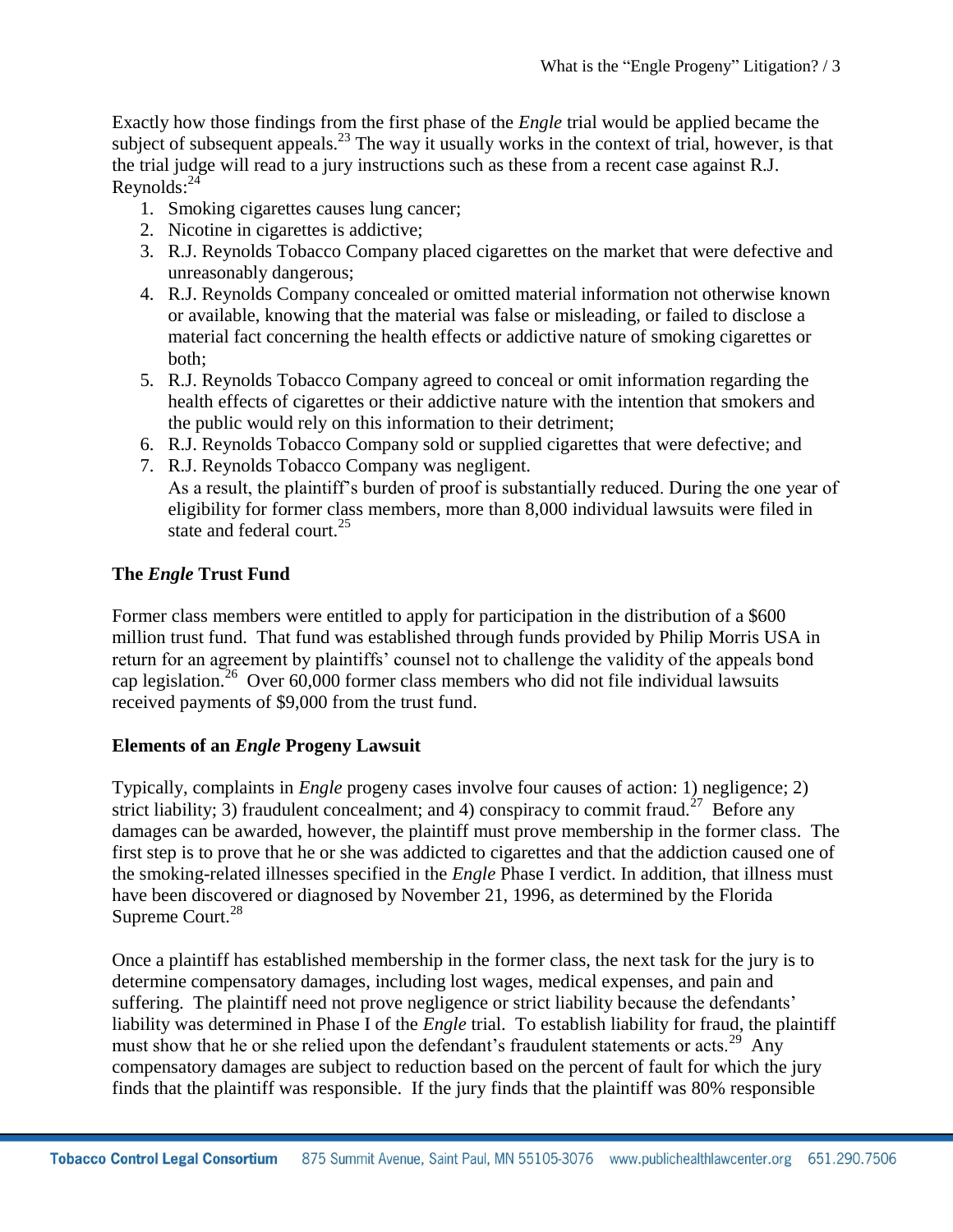Exactly how those findings from the first phase of the *Engle* trial would be applied became the subject of subsequent appeals.<sup>23</sup> The way it usually works in the context of trial, however, is that the trial judge will read to a jury instructions such as these from a recent case against R.J.  $Reynolds: <sup>24</sup>$ 

- 1. Smoking cigarettes causes lung cancer;
- 2. Nicotine in cigarettes is addictive;
- 3. R.J. Reynolds Tobacco Company placed cigarettes on the market that were defective and unreasonably dangerous;
- 4. R.J. Reynolds Company concealed or omitted material information not otherwise known or available, knowing that the material was false or misleading, or failed to disclose a material fact concerning the health effects or addictive nature of smoking cigarettes or both;
- 5. R.J. Reynolds Tobacco Company agreed to conceal or omit information regarding the health effects of cigarettes or their addictive nature with the intention that smokers and the public would rely on this information to their detriment;
- 6. R.J. Reynolds Tobacco Company sold or supplied cigarettes that were defective; and
- 7. R.J. Reynolds Tobacco Company was negligent. As a result, the plaintiff's burden of proof is substantially reduced. During the one year of eligibility for former class members, more than 8,000 individual lawsuits were filed in state and federal court. $25$

## **The** *Engle* **Trust Fund**

Former class members were entitled to apply for participation in the distribution of a \$600 million trust fund. That fund was established through funds provided by Philip Morris USA in return for an agreement by plaintiffs' counsel not to challenge the validity of the appeals bond cap legislation.<sup>26</sup> Over 60,000 former class members who did not file individual lawsuits received payments of \$9,000 from the trust fund.

## **Elements of an** *Engle* **Progeny Lawsuit**

Typically, complaints in *Engle* progeny cases involve four causes of action: 1) negligence; 2) strict liability; 3) fraudulent concealment; and 4) conspiracy to commit fraud.<sup>27</sup> Before any damages can be awarded, however, the plaintiff must prove membership in the former class. The first step is to prove that he or she was addicted to cigarettes and that the addiction caused one of the smoking-related illnesses specified in the *Engle* Phase I verdict. In addition, that illness must have been discovered or diagnosed by November 21, 1996, as determined by the Florida Supreme Court.<sup>28</sup>

Once a plaintiff has established membership in the former class, the next task for the jury is to determine compensatory damages, including lost wages, medical expenses, and pain and suffering. The plaintiff need not prove negligence or strict liability because the defendants' liability was determined in Phase I of the *Engle* trial. To establish liability for fraud, the plaintiff must show that he or she relied upon the defendant's fraudulent statements or acts.<sup>29</sup> Any compensatory damages are subject to reduction based on the percent of fault for which the jury finds that the plaintiff was responsible. If the jury finds that the plaintiff was 80% responsible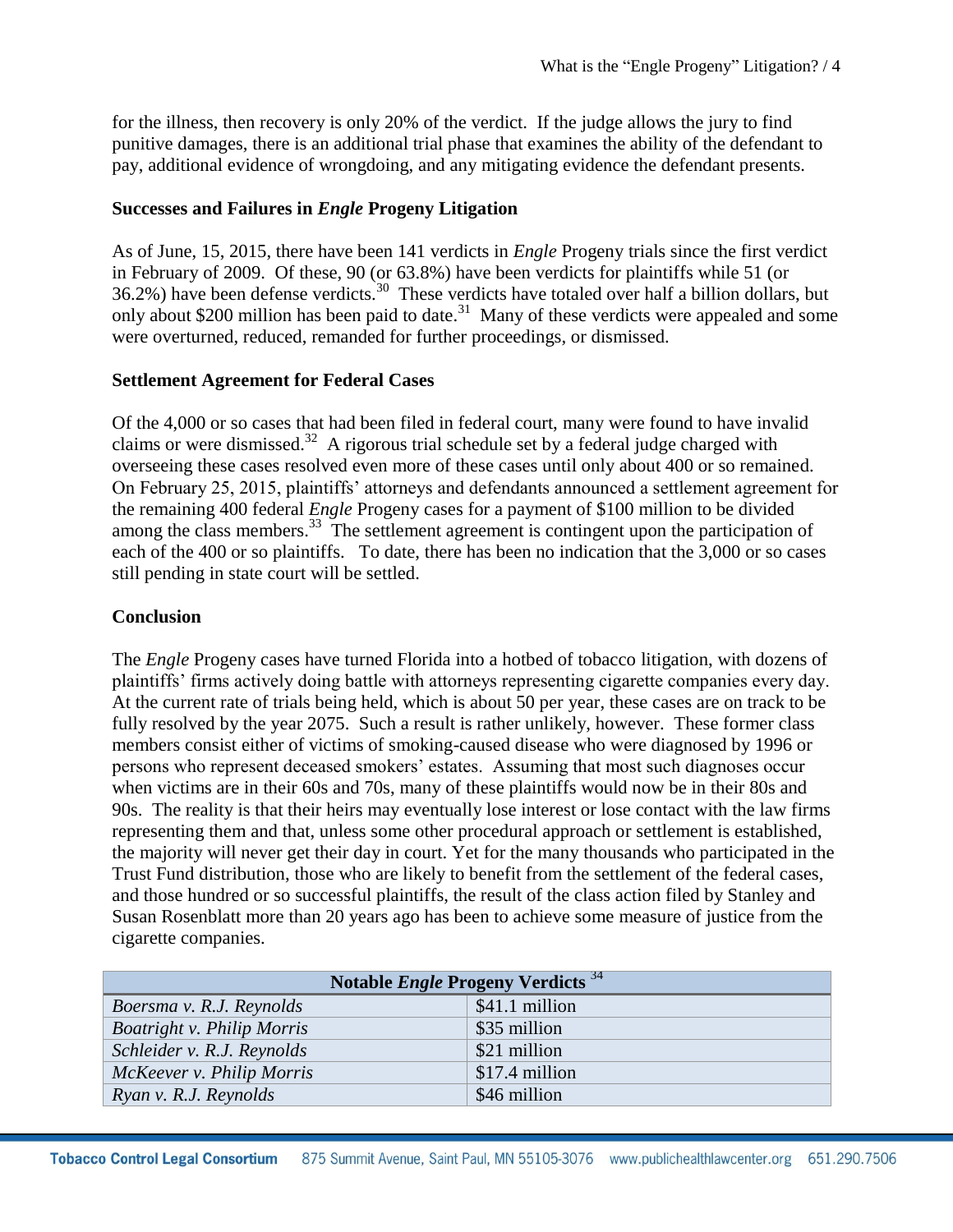for the illness, then recovery is only 20% of the verdict. If the judge allows the jury to find punitive damages, there is an additional trial phase that examines the ability of the defendant to pay, additional evidence of wrongdoing, and any mitigating evidence the defendant presents.

### **Successes and Failures in** *Engle* **Progeny Litigation**

As of June, 15, 2015, there have been 141 verdicts in *Engle* Progeny trials since the first verdict in February of 2009. Of these, 90 (or 63.8%) have been verdicts for plaintiffs while 51 (or 36.2%) have been defense verdicts.<sup>30</sup> These verdicts have totaled over half a billion dollars, but only about \$200 million has been paid to date.<sup>31</sup> Many of these verdicts were appealed and some were overturned, reduced, remanded for further proceedings, or dismissed.

### **Settlement Agreement for Federal Cases**

Of the 4,000 or so cases that had been filed in federal court, many were found to have invalid claims or were dismissed.<sup>32</sup> A rigorous trial schedule set by a federal judge charged with overseeing these cases resolved even more of these cases until only about 400 or so remained. On February 25, 2015, plaintiffs' attorneys and defendants announced a settlement agreement for the remaining 400 federal *Engle* Progeny cases for a payment of \$100 million to be divided among the class members.<sup>33</sup> The settlement agreement is contingent upon the participation of each of the 400 or so plaintiffs. To date, there has been no indication that the 3,000 or so cases still pending in state court will be settled.

## **Conclusion**

The *Engle* Progeny cases have turned Florida into a hotbed of tobacco litigation, with dozens of plaintiffs' firms actively doing battle with attorneys representing cigarette companies every day. At the current rate of trials being held, which is about 50 per year, these cases are on track to be fully resolved by the year 2075. Such a result is rather unlikely, however. These former class members consist either of victims of smoking-caused disease who were diagnosed by 1996 or persons who represent deceased smokers' estates. Assuming that most such diagnoses occur when victims are in their 60s and 70s, many of these plaintiffs would now be in their 80s and 90s. The reality is that their heirs may eventually lose interest or lose contact with the law firms representing them and that, unless some other procedural approach or settlement is established, the majority will never get their day in court. Yet for the many thousands who participated in the Trust Fund distribution, those who are likely to benefit from the settlement of the federal cases, and those hundred or so successful plaintiffs, the result of the class action filed by Stanley and Susan Rosenblatt more than 20 years ago has been to achieve some measure of justice from the cigarette companies.

| Notable <i>Engle</i> Progeny Verdicts <sup>34</sup> |                |
|-----------------------------------------------------|----------------|
| Boersma v. R.J. Reynolds                            | \$41.1 million |
| <b>Boatright v. Philip Morris</b>                   | \$35 million   |
| Schleider v. R.J. Reynolds                          | \$21 million   |
| McKeever v. Philip Morris                           | \$17.4 million |
| Ryan v. R.J. Reynolds                               | \$46 million   |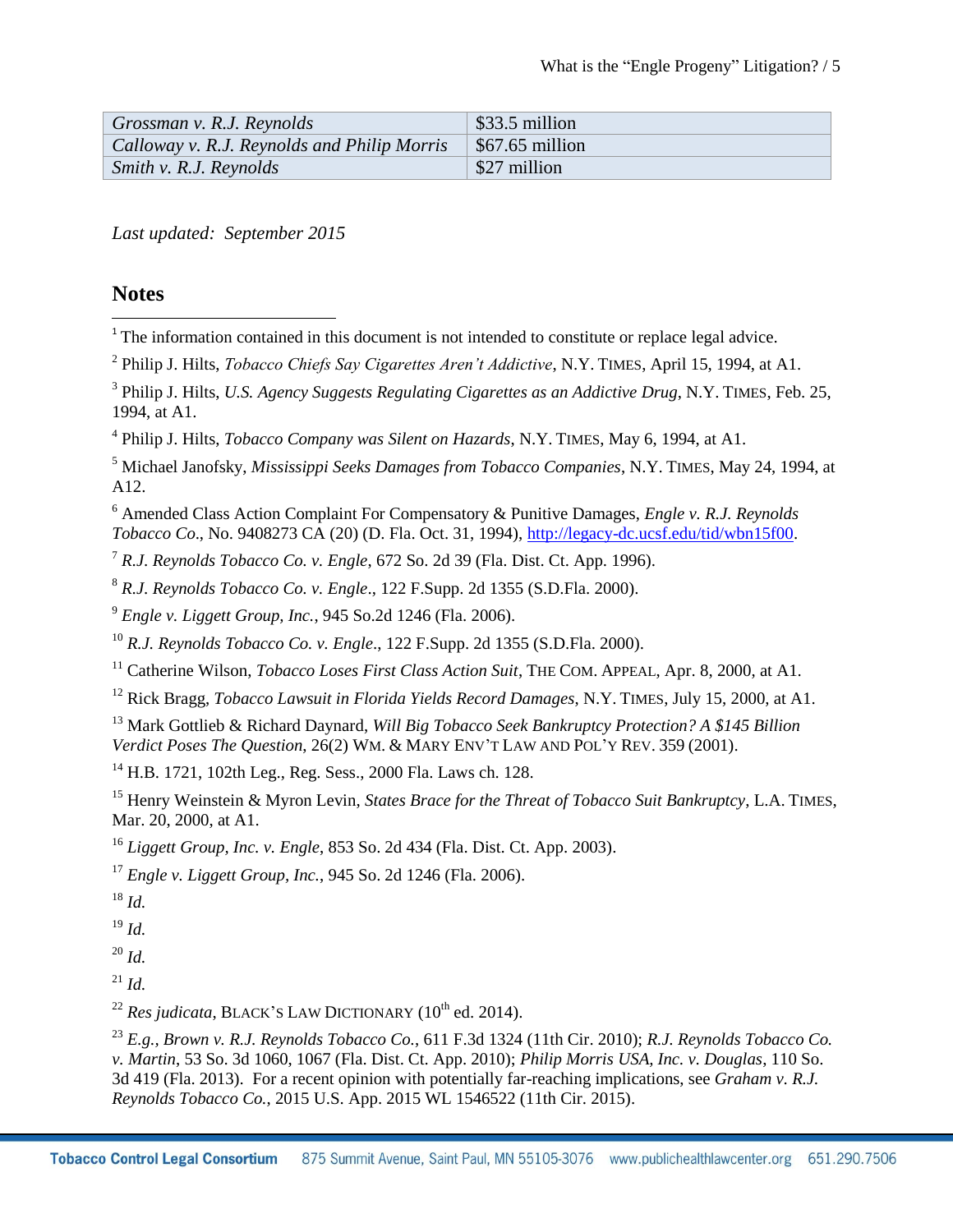| Grossman v. R.J. Reynolds                   | $\frac{1}{2}$ \$33.5 million |
|---------------------------------------------|------------------------------|
| Calloway v. R.J. Reynolds and Philip Morris | $\vert$ \$67.65 million      |
| <i>Smith v. R.J. Reynolds</i>               | \$27 million                 |

*Last updated: September 2015*

## **Notes**

- l  $1$ <sup>1</sup> The information contained in this document is not intended to constitute or replace legal advice.
- 2 Philip J. Hilts, *Tobacco Chiefs Say Cigarettes Aren't Addictive*, N.Y. TIMES, April 15, 1994, at A1.
- 3 Philip J. Hilts, *U.S. Agency Suggests Regulating Cigarettes as an Addictive Drug*, N.Y. TIMES, Feb. 25, 1994, at A1.
- 4 Philip J. Hilts, *Tobacco Company was Silent on Hazards*, N.Y. TIMES, May 6, 1994, at A1.
- <sup>5</sup> Michael Janofsky, *Mississippi Seeks Damages from Tobacco Companies*, N.Y. TIMES, May 24, 1994, at A12.
- <sup>6</sup> Amended Class Action Complaint For Compensatory & Punitive Damages, *Engle v. R.J. Reynolds Tobacco Co*., No. 9408273 CA (20) (D. Fla. Oct. 31, 1994)[, http://legacy-dc.ucsf.edu/tid/wbn15f00.](http://legacy-dc.ucsf.edu/tid/wbn15f00)
- <sup>7</sup> *R.J. Reynolds Tobacco Co. v. Engle*, 672 So. 2d 39 (Fla. Dist. Ct. App. 1996).
- <sup>8</sup> *R.J. Reynolds Tobacco Co. v. Engle*., 122 F.Supp. 2d 1355 (S.D.Fla. 2000).
- <sup>9</sup> *Engle v. Liggett Group, Inc.*, 945 So.2d 1246 (Fla. 2006).
- <sup>10</sup> *R.J. Reynolds Tobacco Co. v. Engle*., 122 F.Supp. 2d 1355 (S.D.Fla. 2000).
- <sup>11</sup> Catherine Wilson, *Tobacco Loses First Class Action Suit*, THE COM. APPEAL, Apr. 8, 2000, at A1.
- <sup>12</sup> Rick Bragg, *Tobacco Lawsuit in Florida Yields Record Damages*, N.Y. TIMES, July 15, 2000, at A1.
- <sup>13</sup> Mark Gottlieb & Richard Daynard, *Will Big Tobacco Seek Bankruptcy Protection? A \$145 Billion Verdict Poses The Question*, 26(2) WM. & MARY ENV'T LAW AND POL'Y REV. 359 (2001).
- <sup>14</sup> H.B. 1721, 102th Leg., Reg. Sess., 2000 Fla. Laws ch. 128.
- <sup>15</sup> Henry Weinstein & Myron Levin, *States Brace for the Threat of Tobacco Suit Bankruptcy*, L.A. TIMES, Mar. 20, 2000, at A1.
- <sup>16</sup> *Liggett Group, Inc. v. Engle*, 853 So. 2d 434 (Fla. Dist. Ct. App. 2003).
- <sup>17</sup> *Engle v. Liggett Group, Inc.*, 945 So. 2d 1246 (Fla. 2006).
- <sup>18</sup> *Id.*

<sup>19</sup> *Id.*

<sup>20</sup> *Id.*

 $^{21}$  *Id.* 

<sup>22</sup> *Res judicata*, BLACK'S LAW DICTIONARY  $(10^{th}$  ed. 2014).

<sup>23</sup> *E.g., Brown v. R.J. Reynolds Tobacco Co.*, 611 F.3d 1324 (11th Cir. 2010); *R.J. Reynolds Tobacco Co. v. Martin*, 53 So. 3d 1060, 1067 (Fla. Dist. Ct. App. 2010); *Philip Morris USA, Inc. v. Douglas*, 110 So. 3d 419 (Fla. 2013). For a recent opinion with potentially far-reaching implications, see *Graham v. R.J. Reynolds Tobacco Co.*, 2015 U.S. App. 2015 WL 1546522 (11th Cir. 2015).